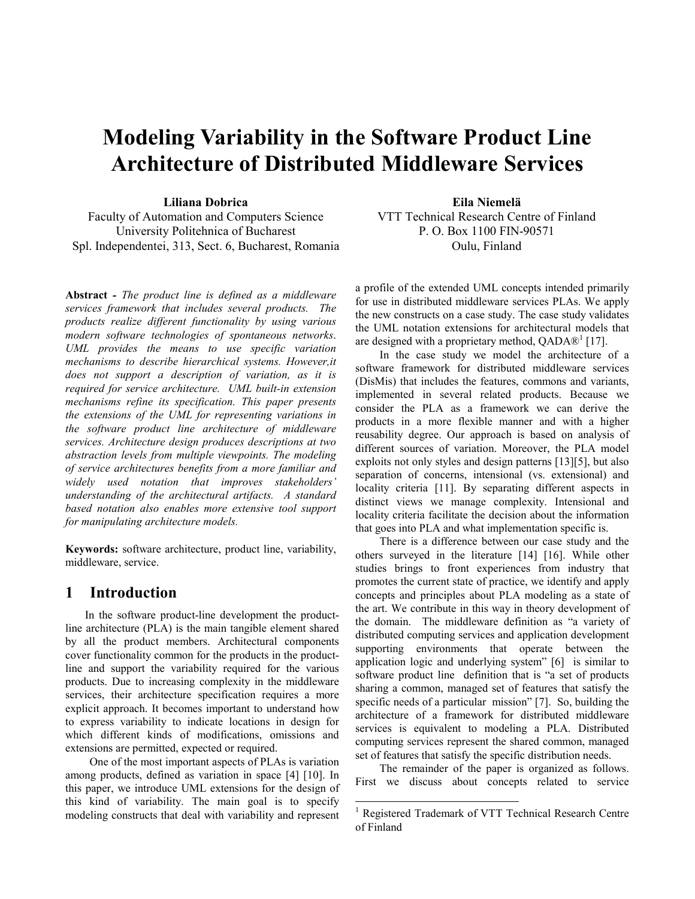# Modeling Variability in the Software Product Line Architecture of Distributed Middleware Services

Liliana Dobrica

Faculty of Automation and Computers Science University Politehnica of Bucharest Spl. Independentei, 313, Sect. 6, Bucharest, Romania

Abstract - The product line is defined as a middleware services framework that includes several products. The products realize different functionality by using various modern software technologies of spontaneous networks. UML provides the means to use specific variation mechanisms to describe hierarchical systems. However,it does not support a description of variation, as it is required for service architecture. UML built-in extension mechanisms refine its specification. This paper presents the extensions of the UML for representing variations in the software product line architecture of middleware services. Architecture design produces descriptions at two abstraction levels from multiple viewpoints. The modeling of service architectures benefits from a more familiar and widely used notation that improves stakeholders' understanding of the architectural artifacts. A standard based notation also enables more extensive tool support for manipulating architecture models.

Keywords: software architecture, product line, variability, middleware, service.

## 1 Introduction

 In the software product-line development the productline architecture (PLA) is the main tangible element shared by all the product members. Architectural components cover functionality common for the products in the productline and support the variability required for the various products. Due to increasing complexity in the middleware services, their architecture specification requires a more explicit approach. It becomes important to understand how to express variability to indicate locations in design for which different kinds of modifications, omissions and extensions are permitted, expected or required.

One of the most important aspects of PLAs is variation among products, defined as variation in space [4] [10]. In this paper, we introduce UML extensions for the design of this kind of variability. The main goal is to specify modeling constructs that deal with variability and represent

Eila Niemelä VTT Technical Research Centre of Finland P. O. Box 1100 FIN-90571 Oulu, Finland

a profile of the extended UML concepts intended primarily for use in distributed middleware services PLAs. We apply the new constructs on a case study. The case study validates the UML notation extensions for architectural models that are designed with a proprietary method,  $QADA@<sup>1</sup>$  [17].

In the case study we model the architecture of a software framework for distributed middleware services (DisMis) that includes the features, commons and variants, implemented in several related products. Because we consider the PLA as a framework we can derive the products in a more flexible manner and with a higher reusability degree. Our approach is based on analysis of different sources of variation. Moreover, the PLA model exploits not only styles and design patterns [13][5], but also separation of concerns, intensional (vs. extensional) and locality criteria [11]. By separating different aspects in distinct views we manage complexity. Intensional and locality criteria facilitate the decision about the information that goes into PLA and what implementation specific is.

There is a difference between our case study and the others surveyed in the literature [14] [16]. While other studies brings to front experiences from industry that promotes the current state of practice, we identify and apply concepts and principles about PLA modeling as a state of the art. We contribute in this way in theory development of the domain. The middleware definition as "a variety of distributed computing services and application development supporting environments that operate between the application logic and underlying system" [6] is similar to software product line definition that is "a set of products sharing a common, managed set of features that satisfy the specific needs of a particular mission" [7]. So, building the architecture of a framework for distributed middleware services is equivalent to modeling a PLA. Distributed computing services represent the shared common, managed set of features that satisfy the specific distribution needs.

The remainder of the paper is organized as follows. First we discuss about concepts related to service

 $\overline{a}$ 

<sup>&</sup>lt;sup>1</sup> Registered Trademark of VTT Technical Research Centre of Finland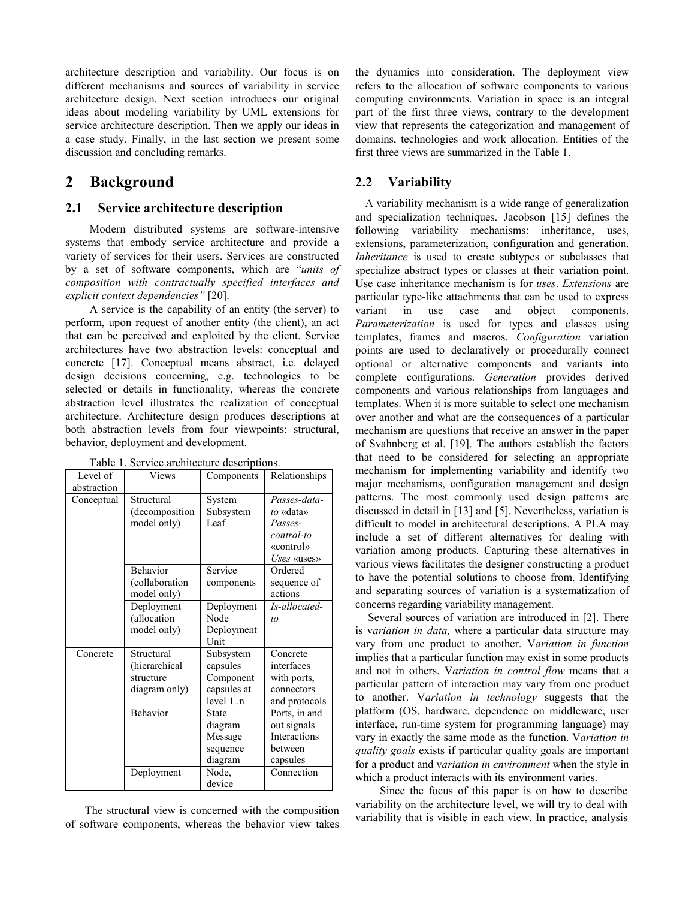architecture description and variability. Our focus is on different mechanisms and sources of variability in service architecture design. Next section introduces our original ideas about modeling variability by UML extensions for service architecture description. Then we apply our ideas in a case study. Finally, in the last section we present some discussion and concluding remarks.

## 2 Background

#### 2.1 Service architecture description

Modern distributed systems are software-intensive systems that embody service architecture and provide a variety of services for their users. Services are constructed by a set of software components, which are "units of composition with contractually specified interfaces and explicit context dependencies" [20].

A service is the capability of an entity (the server) to perform, upon request of another entity (the client), an act that can be perceived and exploited by the client. Service architectures have two abstraction levels: conceptual and concrete [17]. Conceptual means abstract, i.e. delayed design decisions concerning, e.g. technologies to be selected or details in functionality, whereas the concrete abstraction level illustrates the realization of conceptual architecture. Architecture design produces descriptions at both abstraction levels from four viewpoints: structural, behavior, deployment and development.

| Level of    | Views                                                     | Components                                                    | Relationships                                                                  |
|-------------|-----------------------------------------------------------|---------------------------------------------------------------|--------------------------------------------------------------------------------|
| abstraction |                                                           |                                                               |                                                                                |
| Conceptual  | Structural<br>(decomposition<br>model only)               | System<br>Subsystem<br>Leaf                                   | Passes-data-<br>to «data»<br>Passes-<br>control-to<br>«control»<br>Uses «uses» |
|             | Behavior<br>(collaboration<br>model only)                 | Service<br>components                                         | Ordered<br>sequence of<br>actions                                              |
|             | Deployment<br>(allocation<br>model only)                  | Deployment<br>Node<br>Deployment<br>Unit                      | Is-allocated-<br>to                                                            |
| Concrete    | Structural<br>(hierarchical<br>structure<br>diagram only) | Subsystem<br>capsules<br>Component<br>capsules at<br>level 1n | Concrete<br>interfaces<br>with ports,<br>connectors<br>and protocols           |
|             | Behavior                                                  | State<br>diagram<br>Message<br>sequence<br>diagram            | Ports, in and<br>out signals<br>Interactions<br>hetween<br>capsules            |
|             | Deployment                                                | Node,<br>device                                               | Connection                                                                     |

Table 1. Service architecture descriptions.

 The structural view is concerned with the composition of software components, whereas the behavior view takes the dynamics into consideration. The deployment view refers to the allocation of software components to various computing environments. Variation in space is an integral part of the first three views, contrary to the development view that represents the categorization and management of domains, technologies and work allocation. Entities of the first three views are summarized in the Table 1.

#### 2.2 Variability

A variability mechanism is a wide range of generalization and specialization techniques. Jacobson [15] defines the following variability mechanisms: inheritance, uses, extensions, parameterization, configuration and generation. Inheritance is used to create subtypes or subclasses that specialize abstract types or classes at their variation point. Use case inheritance mechanism is for uses. Extensions are particular type-like attachments that can be used to express variant in use case and object components. Parameterization is used for types and classes using templates, frames and macros. Configuration variation points are used to declaratively or procedurally connect optional or alternative components and variants into complete configurations. Generation provides derived components and various relationships from languages and templates. When it is more suitable to select one mechanism over another and what are the consequences of a particular mechanism are questions that receive an answer in the paper of Svahnberg et al. [19]. The authors establish the factors that need to be considered for selecting an appropriate mechanism for implementing variability and identify two major mechanisms, configuration management and design patterns. The most commonly used design patterns are discussed in detail in [13] and [5]. Nevertheless, variation is difficult to model in architectural descriptions. A PLA may include a set of different alternatives for dealing with variation among products. Capturing these alternatives in various views facilitates the designer constructing a product to have the potential solutions to choose from. Identifying and separating sources of variation is a systematization of concerns regarding variability management.

 Several sources of variation are introduced in [2]. There is variation in data, where a particular data structure may vary from one product to another. Variation in function implies that a particular function may exist in some products and not in others. Variation in control flow means that a particular pattern of interaction may vary from one product to another. Variation in technology suggests that the platform (OS, hardware, dependence on middleware, user interface, run-time system for programming language) may vary in exactly the same mode as the function. Variation in quality goals exists if particular quality goals are important for a product and variation in environment when the style in which a product interacts with its environment varies.

 Since the focus of this paper is on how to describe variability on the architecture level, we will try to deal with variability that is visible in each view. In practice, analysis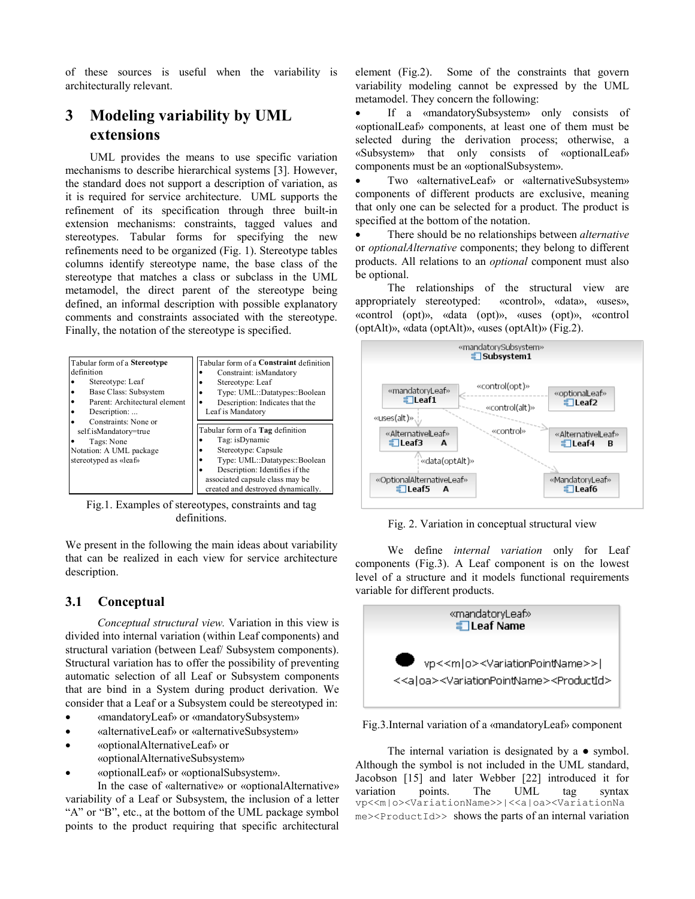of these sources is useful when the variability is architecturally relevant.

## 3 Modeling variability by UML extensions

 UML provides the means to use specific variation mechanisms to describe hierarchical systems [3]. However, the standard does not support a description of variation, as it is required for service architecture. UML supports the refinement of its specification through three built-in extension mechanisms: constraints, tagged values and stereotypes. Tabular forms for specifying the new refinements need to be organized (Fig. 1). Stereotype tables columns identify stereotype name, the base class of the stereotype that matches a class or subclass in the UML metamodel, the direct parent of the stereotype being defined, an informal description with possible explanatory comments and constraints associated with the stereotype. Finally, the notation of the stereotype is specified.



Fig.1. Examples of stereotypes, constraints and tag definitions.

We present in the following the main ideas about variability that can be realized in each view for service architecture description.

#### 3.1 Conceptual

Conceptual structural view. Variation in this view is divided into internal variation (within Leaf components) and structural variation (between Leaf/ Subsystem components). Structural variation has to offer the possibility of preventing automatic selection of all Leaf or Subsystem components that are bind in a System during product derivation. We consider that a Leaf or a Subsystem could be stereotyped in:

- «mandatoryLeaf» or «mandatorySubsystem»
- «alternativeLeaf» or «alternativeSubsystem»
- «optionalAlternativeLeaf» or «optionalAlternativeSubsystem»
- «optionalLeaf» or «optionalSubsystem».

In the case of «alternative» or «optionalAlternative» variability of a Leaf or Subsystem, the inclusion of a letter "A" or "B", etc., at the bottom of the UML package symbol points to the product requiring that specific architectural element (Fig.2). Some of the constraints that govern variability modeling cannot be expressed by the UML metamodel. They concern the following:

• If a «mandatorySubsystem» only consists of «optionalLeaf» components, at least one of them must be selected during the derivation process; otherwise, a «Subsystem» that only consists of «optionalLeaf» components must be an «optionalSubsystem».

• Two «alternativeLeaf» or «alternativeSubsystem» components of different products are exclusive, meaning that only one can be selected for a product. The product is specified at the bottom of the notation.

There should be no relationships between *alternative* or optionalAlternative components; they belong to different products. All relations to an optional component must also be optional.

The relationships of the structural view are appropriately stereotyped: «control», «data», «uses», «control (opt)», «data (opt)», «uses (opt)», «control (optAlt)», «data (optAlt)», «uses (optAlt)» (Fig.2).



Fig. 2. Variation in conceptual structural view

We define internal variation only for Leaf components (Fig.3). A Leaf component is on the lowest level of a structure and it models functional requirements variable for different products.



Fig.3.Internal variation of a «mandatoryLeaf» component

The internal variation is designated by a  $\bullet$  symbol. Although the symbol is not included in the UML standard, Jacobson [15] and later Webber [22] introduced it for variation points. The UML tag syntax vp<<m|o><VariationName>>|<<a|oa><VariationNa  $me$  >  $\epsilon$  ProductId >> shows the parts of an internal variation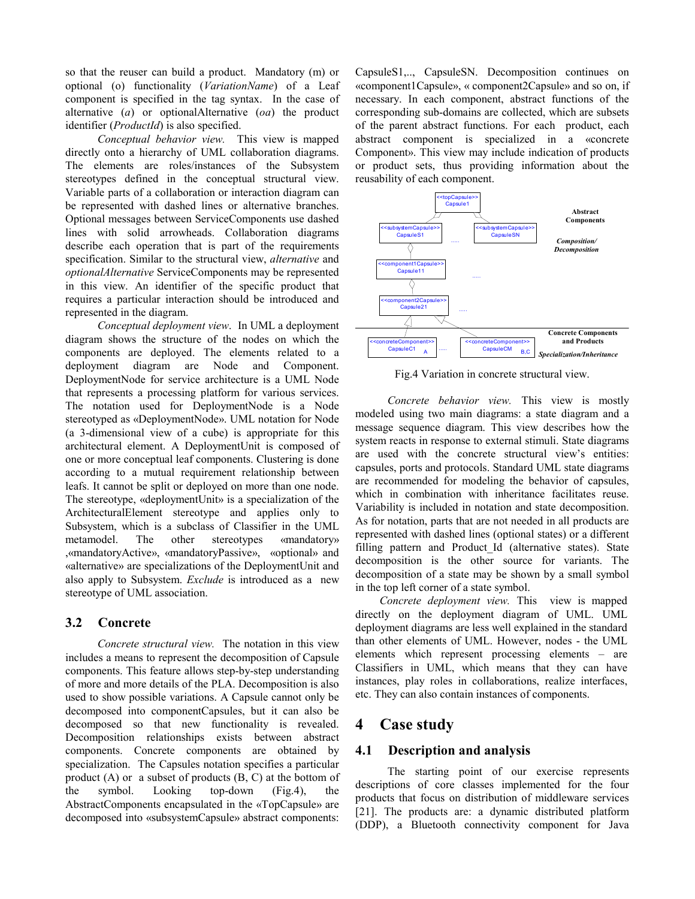so that the reuser can build a product. Mandatory (m) or optional (o) functionality (VariationName) of a Leaf component is specified in the tag syntax. In the case of alternative (a) or optionalAlternative (oa) the product identifier (*ProductId*) is also specified.

Conceptual behavior view. This view is mapped directly onto a hierarchy of UML collaboration diagrams. The elements are roles/instances of the Subsystem stereotypes defined in the conceptual structural view. Variable parts of a collaboration or interaction diagram can be represented with dashed lines or alternative branches. Optional messages between ServiceComponents use dashed lines with solid arrowheads. Collaboration diagrams describe each operation that is part of the requirements specification. Similar to the structural view, alternative and optionalAlternative ServiceComponents may be represented in this view. An identifier of the specific product that requires a particular interaction should be introduced and represented in the diagram.

Conceptual deployment view. In UML a deployment diagram shows the structure of the nodes on which the components are deployed. The elements related to a deployment diagram are Node and Component. DeploymentNode for service architecture is a UML Node that represents a processing platform for various services. The notation used for DeploymentNode is a Node stereotyped as «DeploymentNode». UML notation for Node (a 3-dimensional view of a cube) is appropriate for this architectural element. A DeploymentUnit is composed of one or more conceptual leaf components. Clustering is done according to a mutual requirement relationship between leafs. It cannot be split or deployed on more than one node. The stereotype, «deploymentUnit» is a specialization of the ArchitecturalElement stereotype and applies only to Subsystem, which is a subclass of Classifier in the UML metamodel. The other stereotypes «mandatory» ,«mandatoryActive», «mandatoryPassive», «optional» and «alternative» are specializations of the DeploymentUnit and also apply to Subsystem. Exclude is introduced as a new stereotype of UML association.

#### 3.2 Concrete

Concrete structural view. The notation in this view includes a means to represent the decomposition of Capsule components. This feature allows step-by-step understanding of more and more details of the PLA. Decomposition is also used to show possible variations. A Capsule cannot only be decomposed into componentCapsules, but it can also be decomposed so that new functionality is revealed. Decomposition relationships exists between abstract components. Concrete components are obtained by specialization. The Capsules notation specifies a particular product (A) or a subset of products (B, C) at the bottom of the symbol. Looking top-down (Fig.4), the AbstractComponents encapsulated in the «TopCapsule» are decomposed into «subsystemCapsule» abstract components:

CapsuleS1,.., CapsuleSN. Decomposition continues on «component1Capsule», « component2Capsule» and so on, if necessary. In each component, abstract functions of the corresponding sub-domains are collected, which are subsets of the parent abstract functions. For each product, each abstract component is specialized in a «concrete Component». This view may include indication of products or product sets, thus providing information about the reusability of each component.



Fig.4 Variation in concrete structural view.

Concrete behavior view. This view is mostly modeled using two main diagrams: a state diagram and a message sequence diagram. This view describes how the system reacts in response to external stimuli. State diagrams are used with the concrete structural view's entities: capsules, ports and protocols. Standard UML state diagrams are recommended for modeling the behavior of capsules, which in combination with inheritance facilitates reuse. Variability is included in notation and state decomposition. As for notation, parts that are not needed in all products are represented with dashed lines (optional states) or a different filling pattern and Product Id (alternative states). State decomposition is the other source for variants. The decomposition of a state may be shown by a small symbol in the top left corner of a state symbol.

Concrete deployment view. This view is mapped directly on the deployment diagram of UML. UML deployment diagrams are less well explained in the standard than other elements of UML. However, nodes - the UML elements which represent processing elements – are Classifiers in UML, which means that they can have instances, play roles in collaborations, realize interfaces, etc. They can also contain instances of components.

## 4 Case study

#### 4.1 Description and analysis

The starting point of our exercise represents descriptions of core classes implemented for the four products that focus on distribution of middleware services [21]. The products are: a dynamic distributed platform (DDP), a Bluetooth connectivity component for Java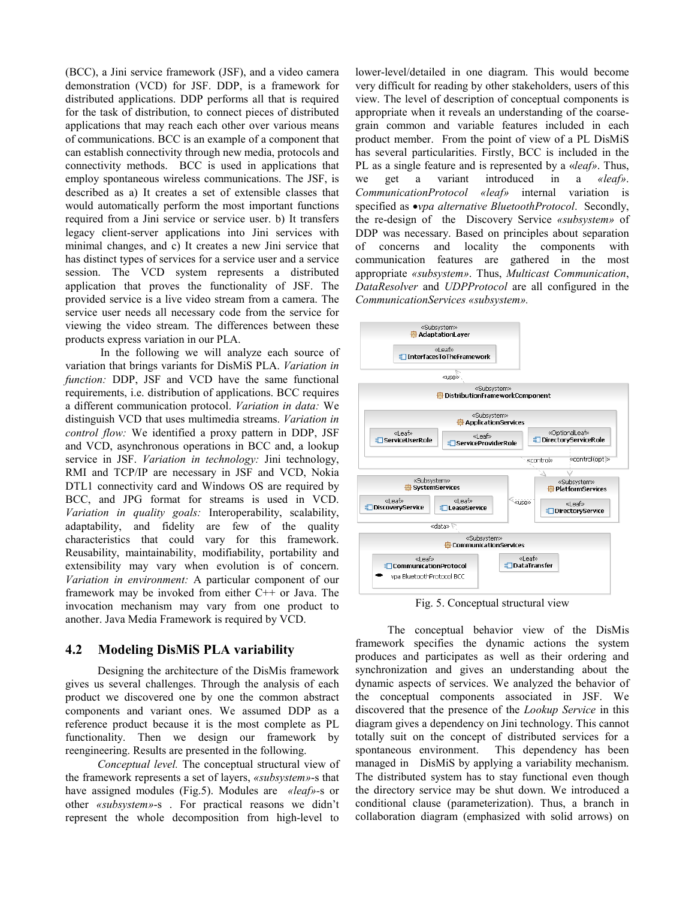(BCC), a Jini service framework (JSF), and a video camera demonstration (VCD) for JSF. DDP, is a framework for distributed applications. DDP performs all that is required for the task of distribution, to connect pieces of distributed applications that may reach each other over various means of communications. BCC is an example of a component that can establish connectivity through new media, protocols and connectivity methods. BCC is used in applications that employ spontaneous wireless communications. The JSF, is described as a) It creates a set of extensible classes that would automatically perform the most important functions required from a Jini service or service user. b) It transfers legacy client-server applications into Jini services with minimal changes, and c) It creates a new Jini service that has distinct types of services for a service user and a service session. The VCD system represents a distributed application that proves the functionality of JSF. The provided service is a live video stream from a camera. The service user needs all necessary code from the service for viewing the video stream. The differences between these products express variation in our PLA.

 In the following we will analyze each source of variation that brings variants for DisMiS PLA. Variation in function: DDP, JSF and VCD have the same functional requirements, i.e. distribution of applications. BCC requires a different communication protocol. Variation in data: We distinguish VCD that uses multimedia streams. Variation in control flow: We identified a proxy pattern in DDP, JSF and VCD, asynchronous operations in BCC and, a lookup service in JSF. *Variation in technology*: Jini technology, RMI and TCP/IP are necessary in JSF and VCD, Nokia DTL1 connectivity card and Windows OS are required by BCC, and JPG format for streams is used in VCD. Variation in quality goals: Interoperability, scalability, adaptability, and fidelity are few of the quality characteristics that could vary for this framework. Reusability, maintainability, modifiability, portability and extensibility may vary when evolution is of concern. Variation in environment: A particular component of our framework may be invoked from either C++ or Java. The invocation mechanism may vary from one product to another. Java Media Framework is required by VCD.

#### 4.2 Modeling DisMiS PLA variability

Designing the architecture of the DisMis framework gives us several challenges. Through the analysis of each product we discovered one by one the common abstract components and variant ones. We assumed DDP as a reference product because it is the most complete as PL functionality. Then we design our framework by reengineering. Results are presented in the following.

Conceptual level. The conceptual structural view of the framework represents a set of layers, «subsystem»-s that have assigned modules (Fig.5). Modules are «leaf»-s or other «subsystem»-s . For practical reasons we didn't represent the whole decomposition from high-level to

lower-level/detailed in one diagram. This would become very difficult for reading by other stakeholders, users of this view. The level of description of conceptual components is appropriate when it reveals an understanding of the coarsegrain common and variable features included in each product member. From the point of view of a PL DisMiS has several particularities. Firstly, BCC is included in the PL as a single feature and is represented by a «leaf». Thus, we get a variant introduced in a «leaf». CommunicationProtocol «leaf» internal variation is specified as  $\bullet$ *vpa alternative BluetoothProtocol.* Secondly, the re-design of the Discovery Service «subsystem» of DDP was necessary. Based on principles about separation of concerns and locality the components with communication features are gathered in the most appropriate «subsystem». Thus, Multicast Communication, DataResolver and UDPProtocol are all configured in the CommunicationServices «subsystem».



Fig. 5. Conceptual structural view

The conceptual behavior view of the DisMis framework specifies the dynamic actions the system produces and participates as well as their ordering and synchronization and gives an understanding about the dynamic aspects of services. We analyzed the behavior of the conceptual components associated in JSF. We discovered that the presence of the Lookup Service in this diagram gives a dependency on Jini technology. This cannot totally suit on the concept of distributed services for a spontaneous environment. This dependency has been managed in DisMiS by applying a variability mechanism. The distributed system has to stay functional even though the directory service may be shut down. We introduced a conditional clause (parameterization). Thus, a branch in collaboration diagram (emphasized with solid arrows) on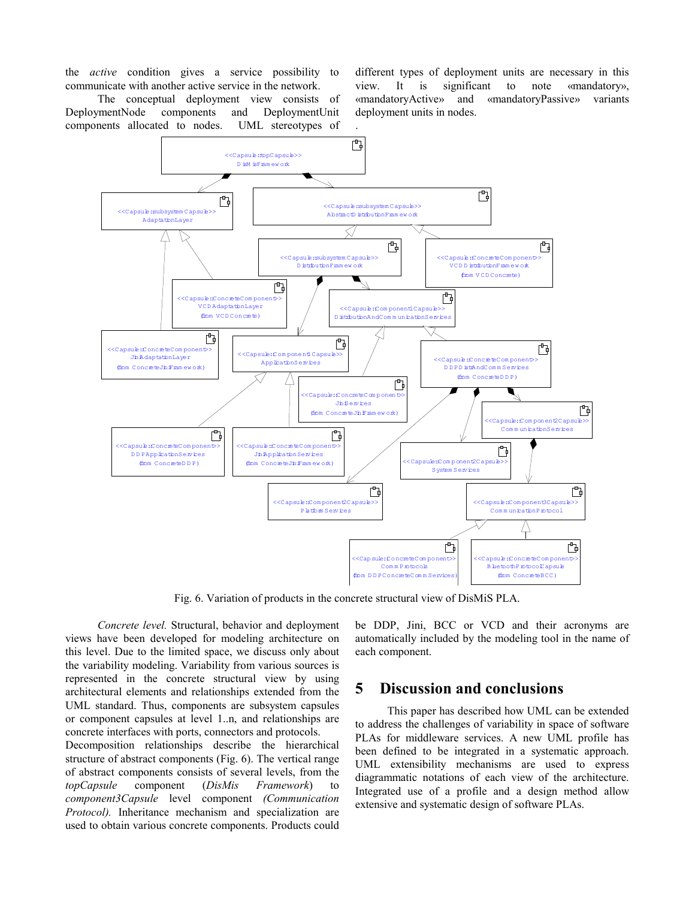the active condition gives a service possibility to communicate with another active service in the network.

The conceptual deployment view consists of DeploymentNode components and DeploymentUnit components allocated to nodes. UML stereotypes of different types of deployment units are necessary in this view. It is significant to note «mandatory», «mandatoryActive» and «mandatoryPassive» variants deployment units in nodes.



Fig. 6. Variation of products in the concrete structural view of DisMiS PLA.

Concrete level. Structural, behavior and deployment views have been developed for modeling architecture on this level. Due to the limited space, we discuss only about the variability modeling. Variability from various sources is represented in the concrete structural view by using architectural elements and relationships extended from the UML standard. Thus, components are subsystem capsules or component capsules at level 1..n, and relationships are concrete interfaces with ports, connectors and protocols.

Decomposition relationships describe the hierarchical structure of abstract components (Fig. 6). The vertical range of abstract components consists of several levels, from the topCapsule component (DisMis Framework) to component3Capsule level component (Communication Protocol). Inheritance mechanism and specialization are used to obtain various concrete components. Products could be DDP, Jini, BCC or VCD and their acronyms are automatically included by the modeling tool in the name of each component.

## 5 Discussion and conclusions

This paper has described how UML can be extended to address the challenges of variability in space of software PLAs for middleware services. A new UML profile has been defined to be integrated in a systematic approach. UML extensibility mechanisms are used to express diagrammatic notations of each view of the architecture. Integrated use of a profile and a design method allow extensive and systematic design of software PLAs.